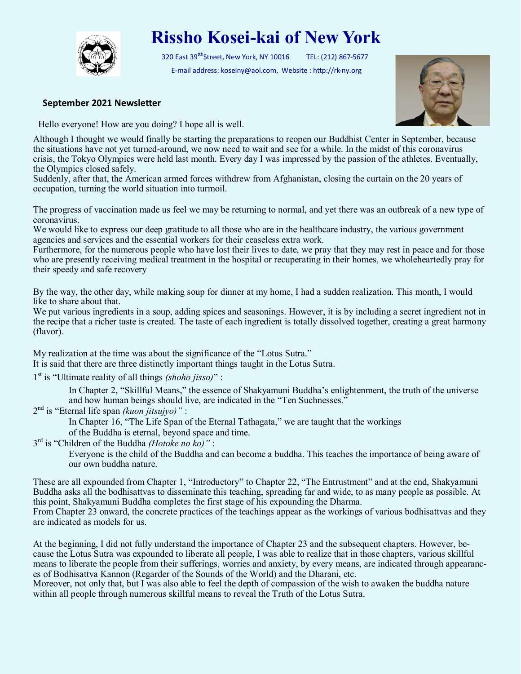

## **Rissho Kosei-kai of New York**

320 East 39<sup>tth</sup>Street, New York, NY 10016 TEL: (212) 867-5677 E-mail address: koseiny@aol.com, Website : http://rk-ny.org



## **September 2021 Newsletter**

Hello everyone! How are you doing? I hope all is well.

Although I thought we would finally be starting the preparations to reopen our Buddhist Center in September, because the situations have not yet turned-around, we now need to wait and see for a while. In the midst of this coronavirus crisis, the Tokyo Olympics were held last month. Every day I was impressed by the passion of the athletes. Eventually, the Olympics closed safely.

Suddenly, after that, the American armed forces withdrew from Afghanistan, closing the curtain on the 20 years of occupation, turning the world situation into turmoil.

The progress of vaccination made us feel we may be returning to normal, and yet there was an outbreak of a new type of coronavirus.

We would like to express our deep gratitude to all those who are in the healthcare industry, the various government agencies and services and the essential workers for their ceaseless extra work.

Furthermore, for the numerous people who have lost their lives to date, we pray that they may rest in peace and for those who are presently receiving medical treatment in the hospital or recuperating in their homes, we wholeheartedly pray for their speedy and safe recovery

By the way, the other day, while making soup for dinner at my home, I had a sudden realization. This month, I would like to share about that.

We put various ingredients in a soup, adding spices and seasonings. However, it is by including a secret ingredient not in the recipe that a richer taste is created. The taste of each ingredient is totally dissolved together, creating a great harmony (flavor).

My realization at the time was about the significance of the "Lotus Sutra." It is said that there are three distinctly important things taught in the Lotus Sutra.

1 st is "Ultimate reality of all things *(shoho jisso)*" :

In Chapter 2, "Skillful Means," the essence of Shakyamuni Buddha's enlightenment, the truth of the universe and how human beings should live, are indicated in the "Ten Suchnesses."

2 nd is "Eternal life span *(kuon jitsujyo)"* :

In Chapter 16, "The Life Span of the Eternal Tathagata," we are taught that the workings

of the Buddha is eternal, beyond space and time.

3 rd is "Children of the Buddha *(Hotoke no ko)"* :

Everyone is the child of the Buddha and can become a buddha. This teaches the importance of being aware of our own buddha nature.

These are all expounded from Chapter 1, "Introductory" to Chapter 22, "The Entrustment" and at the end, Shakyamuni Buddha asks all the bodhisattvas to disseminate this teaching, spreading far and wide, to as many people as possible. At this point, Shakyamuni Buddha completes the first stage of his expounding the Dharma.

From Chapter 23 onward, the concrete practices of the teachings appear as the workings of various bodhisattvas and they are indicated as models for us.

At the beginning, I did not fully understand the importance of Chapter 23 and the subsequent chapters. However, because the Lotus Sutra was expounded to liberate all people, I was able to realize that in those chapters, various skillful means to liberate the people from their sufferings, worries and anxiety, by every means, are indicated through appearances of Bodhisattva Kannon (Regarder of the Sounds of the World) and the Dharani, etc.

Moreover, not only that, but I was also able to feel the depth of compassion of the wish to awaken the buddha nature within all people through numerous skillful means to reveal the Truth of the Lotus Sutra.